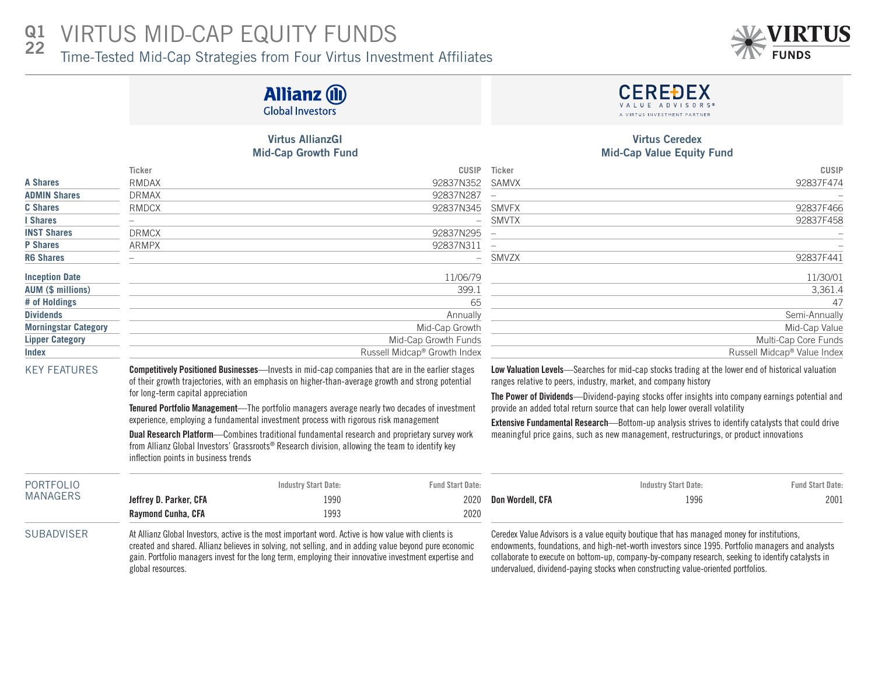#### VIRTUS MID-CAP EQUITY FUNDS Q1 22

Time-Tested Mid-Cap Strategies from Four Virtus Investment Affiliates



# **Allianz (II) Global Investors**

## Virtus AllianzGI Mid-Cap Growth Fund

|                             | <b>Ticker</b> | CUSIP                                    | Ticker                   | <b>CUSIP</b>                |
|-----------------------------|---------------|------------------------------------------|--------------------------|-----------------------------|
| <b>A Shares</b>             | <b>RMDAX</b>  | 92837N352                                | SAMVX                    | 92837F474                   |
| <b>ADMIN Shares</b>         | <b>DRMAX</b>  | 92837N287                                |                          |                             |
| <b>C</b> Shares             | RMDCX         | 92837N345                                | SMVFX                    | 92837F466                   |
| I Shares                    |               | $\overline{\phantom{0}}$                 | SMVTX                    | 92837F458                   |
| <b>INST Shares</b>          | <b>DRMCX</b>  | 92837N295                                |                          |                             |
| <b>P</b> Shares             | <b>ARMPX</b>  | 92837N311                                | $\overline{\phantom{0}}$ |                             |
| <b>R6 Shares</b>            |               | $\overline{\phantom{0}}$                 | SMVZX                    | 92837F441                   |
| <b>Inception Date</b>       |               | 11/06/79                                 |                          | 11/30/01                    |
| AUM (\$ millions)           |               | 399.1                                    |                          | 3,361.4                     |
| # of Holdings               |               | 65                                       |                          | 47                          |
| <b>Dividends</b>            |               | Annually                                 |                          | Semi-Annually               |
| <b>Morningstar Category</b> |               | Mid-Cap Growth                           |                          | Mid-Cap Value               |
| <b>Lipper Category</b>      |               | Mid-Cap Growth Funds                     |                          | Multi-Cap Core Funds        |
| <b>Index</b>                |               | Russell Midcap <sup>®</sup> Growth Index |                          | Russell Midcap® Value Index |

### Virtus Ceredex Mid-Cap Value Equity Fund

**CEREĐEX** 

| <b>CUSIP</b><br><b>CUSIP</b><br>Ticker                      |
|-------------------------------------------------------------|
| 92837F474<br>92837N352<br>SAMVX                             |
| 92837N287<br>$\overline{\phantom{0}}$                       |
| 92837F466<br>92837N345<br><b>SMVFX</b>                      |
| 92837F458<br>SMVTX<br>$\overline{\phantom{a}}$              |
| 92837N295                                                   |
| 92837N311<br>$\overline{\phantom{0}}$                       |
| 92837F441<br>- SMVZX                                        |
| 11/30/01<br>11/06/79                                        |
| 399.1<br>3,361.4                                            |
| 47<br>65                                                    |
| Semi-Annually<br>Annually                                   |
| Mid-Cap Value<br>Mid-Cap Growth                             |
| Mid-Cap Growth Funds<br>Multi-Cap Core Funds                |
| Russell Midcap® Growth Index<br>Russell Midcap® Value Index |
|                                                             |

KEY FEATURES Competitively Positioned Businesses—Invests in mid-cap companies that are in the earlier stages of their growth trajectories, with an emphasis on higher-than-average growth and strong potential for long-term capital appreciation

> Tenured Portfolio Management—The portfolio managers average nearly two decades of investment experience, employing a fundamental investment process with rigorous risk management

> Dual Research Platform—Combines traditional fundamental research and proprietary survey work from Allianz Global Investors' Grassroots® Research division, allowing the team to identify key inflection points in business trends

Low Valuation Levels—Searches for mid-cap stocks trading at the lower end of historical valuation ranges relative to peers, industry, market, and company history

The Power of Dividends—Dividend-paying stocks offer insights into company earnings potential and provide an added total return source that can help lower overall volatility

Extensive Fundamental Research—Bottom-up analysis strives to identify catalysts that could drive meaningful price gains, such as new management, restructurings, or product innovations

| PORTFOLIO |                        | <b>Fund Start Date:</b> |      |  |  |
|-----------|------------------------|-------------------------|------|--|--|
| MANAGERS  | Jeffrey D. Parker, CFA | 1990                    | 2020 |  |  |
|           | Raymond Cunha, CFA     | 1993                    | 2020 |  |  |

SUBADVISER At Allianz Global Investors, active is the most important word. Active is how value with clients is created and shared. Allianz believes in solving, not selling, and in adding value beyond pure economic gain. Portfolio managers invest for the long term, employing their innovative investment expertise and global resources.

| <b>Industry Start Date:</b> | <b>Fund Start Date:</b> |                       | <b>Industry Start Date:</b> | <b>Fund Start Date:</b> |
|-----------------------------|-------------------------|-----------------------|-----------------------------|-------------------------|
| 1990                        |                         | 2020 Don Wordell, CFA | 1996                        | 2001                    |
| 1003                        | ንበንበ                    |                       |                             |                         |

Ceredex Value Advisors is a value equity boutique that has managed money for institutions, endowments, foundations, and high-net-worth investors since 1995. Portfolio managers and analysts collaborate to execute on bottom-up, company-by-company research, seeking to identify catalysts in undervalued, dividend-paying stocks when constructing value-oriented portfolios.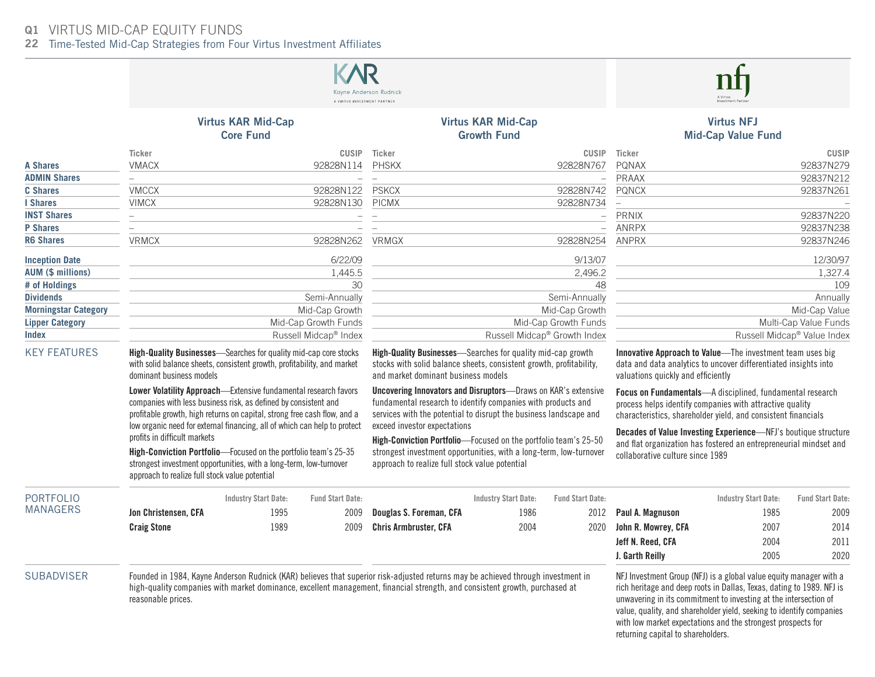# VIRTUS MID-CAP EQUITY FUNDS Q1

22 Time-Tested Mid-Cap Strategies from Four Virtus Investment Affiliates



reasonable prices.

unwavering in its commitment to investing at the intersection of value, quality, and shareholder yield, seeking to identify companies with low market expectations and the strongest prospects for returning capital to shareholders.